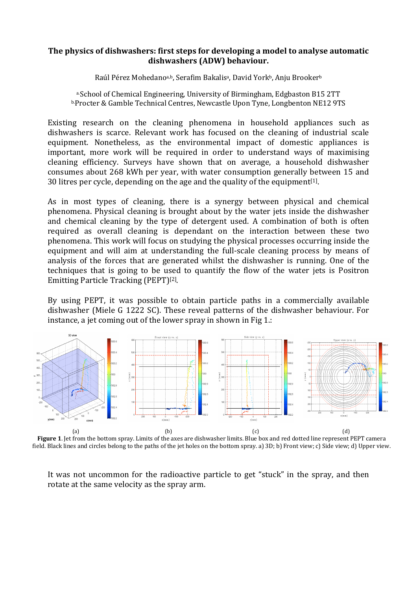## The physics of dishwashers: first steps for developing a model to analyse automatic dishwashers (ADW) behaviour.

Raúl Pérez Mohedano<sup>a,b</sup>, Serafim Bakalis<sup>a</sup>, David York<sup>b</sup>, Anju Brooker<sup>b</sup>

a.School of Chemical Engineering, University of Birmingham, Edgbaston B15 2TT b.Procter & Gamble Technical Centres, Newcastle Upon Tyne, Longbenton NE12 9TS

Existing research on the cleaning phenomena in household appliances such as dishwashers is scarce. Relevant work has focused on the cleaning of industrial scale equipment. Nonetheless, as the environmental impact of domestic appliances is important, more work will be required in order to understand ways of maximising cleaning efficiency. Surveys have shown that on average, a household dishwasher consumes about 268 kWh per year, with water consumption generally between 15 and 30 litres per cycle, depending on the age and the quality of the equipment $[1]$ .

As in most types of cleaning, there is a synergy between physical and chemical phenomena. Physical cleaning is brought about by the water jets inside the dishwasher and chemical cleaning by the type of detergent used. A combination of both is often required as overall cleaning is dependant on the interaction between these two phenomena. This work will focus on studying the physical processes occurring inside the equipment and will aim at understanding the full-scale cleaning process by means of analysis of the forces that are generated whilst the dishwasher is running. One of the techniques that is going to be used to quantify the flow of the water jets is Positron Emitting Particle Tracking (PEPT)[2] .

By using PEPT, it was possible to obtain particle paths in a commercially available dishwasher (Miele G 1222 SC). These reveal patterns of the dishwasher behaviour. For instance, a jet coming out of the lower spray in shown in Fig 1.:



Figure 1. Jet from the bottom spray. Limits of the axes are dishwasher limits. Blue box and red dotted line represent PEPT camera field. Black lines and circles belong to the paths of the jet holes on the bottom spray. a) 3D; b) Front view; c) Side view; d) Upper view.

It was not uncommon for the radioactive particle to get "stuck" in the spray, and then rotate at the same velocity as the spray arm.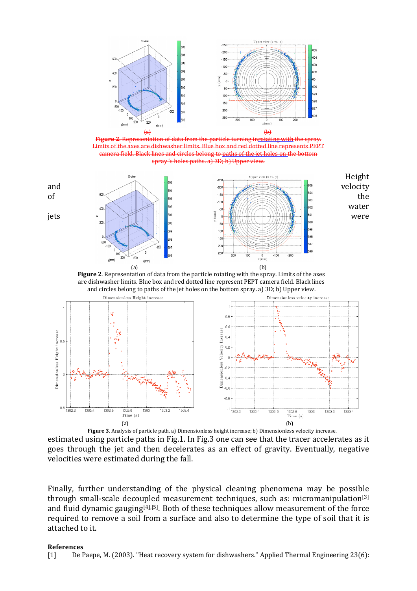

Figure 2. Representation of data from the particle turning in<u>rotating with</u> the spray. limits. Blue box d circles belong to path spray 's holes paths. a) 3D; b) Upper view.



Figure 2. Representation of data from the particle rotating with the spray. Limits of the axes are dishwasher limits. Blue box and red dotted line represent PEPT camera field. Black lines and circles belong to paths of the jet holes on the bottom spray. a) 3D; b) Upper view.



estimated using particle paths in Fig.1. In Fig.3 one can see that the tracer accelerates as it goes through the jet and then decelerates as an effect of gravity. Eventually, negative velocities were estimated during the fall.

Finally, further understanding of the physical cleaning phenomena may be possible through small-scale decoupled measurement techniques, such as: micromanipulation<sup>[3]</sup> and fluid dynamic gauging[4],[5]. Both of these techniques allow measurement of the force required to remove a soil from a surface and also to determine the type of soil that it is attached to it.

## References

[1] De Paepe, M. (2003). "Heat recovery system for dishwashers." Applied Thermal Engineering 23(6):